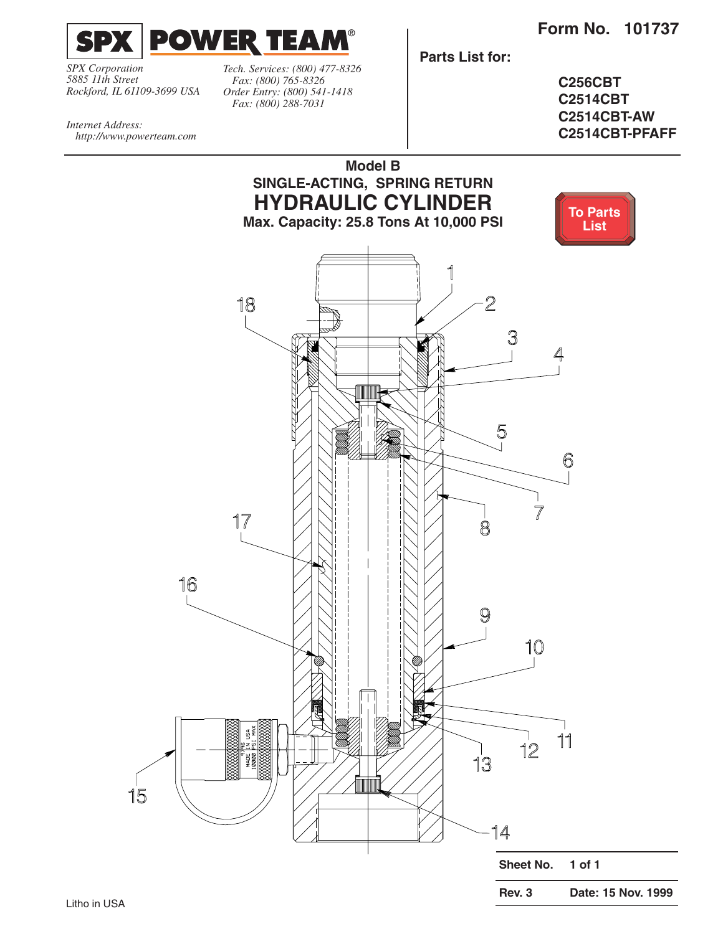<span id="page-0-0"></span>

*SPX Corporation 5885 11th Street Rockford, IL 61109-3699 USA*

*Tech. Services: (800) 477-8326 Fax: (800) 765-8326 Order Entry: (800) 541-1418 Fax: (800) 288-7031*

**Parts List for:**

**C256CBT C2514CBT C2514CBT-AW C2514CBT-PFAFF**

*Internet Address: http://www.powerteam.com*